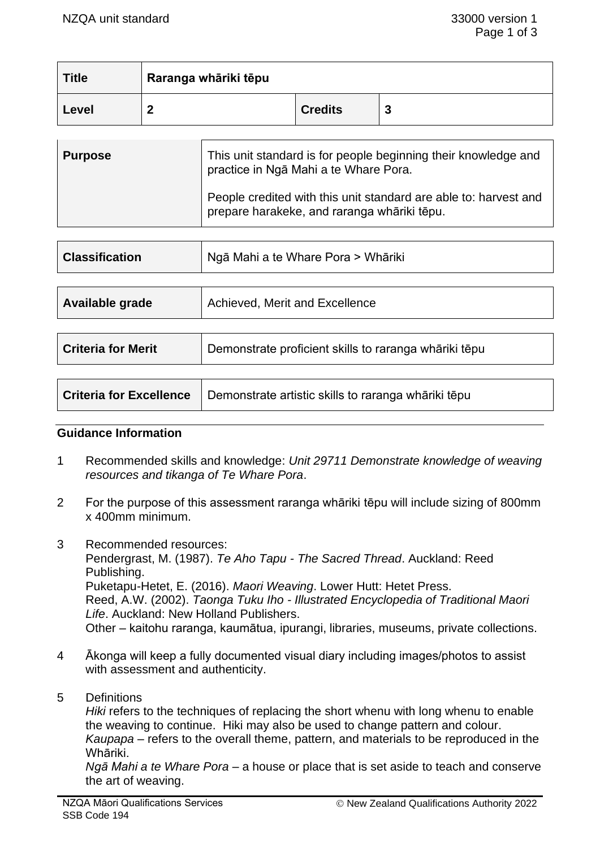| <b>Title</b> | Raranga whāriki tēpu |                |   |
|--------------|----------------------|----------------|---|
| Level        | n                    | <b>Credits</b> | പ |

| <b>Purpose</b> | This unit standard is for people beginning their knowledge and<br>practice in Nga Mahi a te Whare Pora.         |  |
|----------------|-----------------------------------------------------------------------------------------------------------------|--|
|                | People credited with this unit standard are able to: harvest and<br>prepare harakeke, and raranga whāriki tēpu. |  |

| <b>Classification</b>          | Ngā Mahi a te Whare Pora > Whāriki                    |  |
|--------------------------------|-------------------------------------------------------|--|
|                                |                                                       |  |
| Available grade                | Achieved, Merit and Excellence                        |  |
|                                |                                                       |  |
| <b>Criteria for Merit</b>      | Demonstrate proficient skills to raranga whāriki tēpu |  |
|                                |                                                       |  |
| <b>Criteria for Excellence</b> | Demonstrate artistic skills to raranga whāriki tēpu   |  |

#### **Guidance Information**

- 1 Recommended skills and knowledge: *Unit 29711 Demonstrate knowledge of weaving resources and tikanga of Te Whare Pora*.
- 2 For the purpose of this assessment raranga whāriki tēpu will include sizing of 800mm x 400mm minimum.
- 3 Recommended resources: Pendergrast, M. (1987). *Te Aho Tapu - The Sacred Thread*. Auckland: Reed Publishing. Puketapu-Hetet, E. (2016). *Maori Weaving*. Lower Hutt: Hetet Press. Reed, A.W. (2002). *Taonga Tuku Iho - Illustrated Encyclopedia of Traditional Maori Life*. Auckland: New Holland Publishers. Other – kaitohu raranga, kaumātua, ipurangi, libraries, museums, private collections.
- 4 Ākonga will keep a fully documented visual diary including images/photos to assist with assessment and authenticity.
- 5 Definitions

*Hiki* refers to the techniques of replacing the short whenu with long whenu to enable the weaving to continue. Hiki may also be used to change pattern and colour. *Kaupapa* – refers to the overall theme, pattern, and materials to be reproduced in the Whāriki.

*Ngā Mahi a te Whare Pora* – a house or place that is set aside to teach and conserve the art of weaving.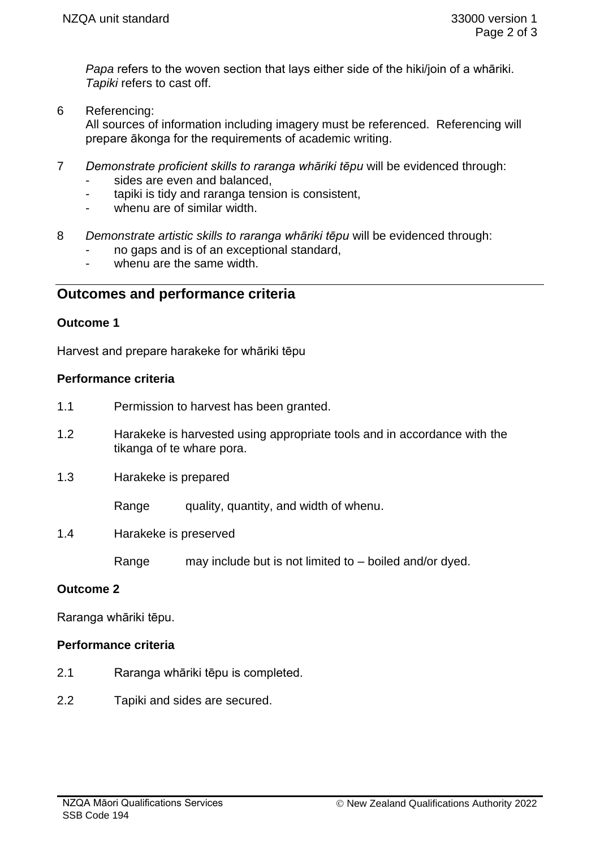*Papa* refers to the woven section that lays either side of the hiki/join of a whāriki. *Tapiki* refers to cast off.

6 Referencing:

All sources of information including imagery must be referenced. Referencing will prepare ākonga for the requirements of academic writing.

- 7 *Demonstrate proficient skills to raranga whāriki tēpu* will be evidenced through:
	- sides are even and balanced.
	- tapiki is tidy and raranga tension is consistent,
	- whenu are of similar width.
- 8 *Demonstrate artistic skills to raranga whāriki tēpu* will be evidenced through:
	- no gaps and is of an exceptional standard,
	- whenu are the same width.

# **Outcomes and performance criteria**

#### **Outcome 1**

Harvest and prepare harakeke for whāriki tēpu

#### **Performance criteria**

- 1.1 Permission to harvest has been granted.
- 1.2 Harakeke is harvested using appropriate tools and in accordance with the tikanga of te whare pora.
- 1.3 Harakeke is prepared

Range quality, quantity, and width of whenu.

1.4 Harakeke is preserved

Range may include but is not limited to – boiled and/or dyed.

## **Outcome 2**

Raranga whāriki tēpu.

## **Performance criteria**

- 2.1 Raranga whāriki tēpu is completed.
- 2.2 Tapiki and sides are secured.